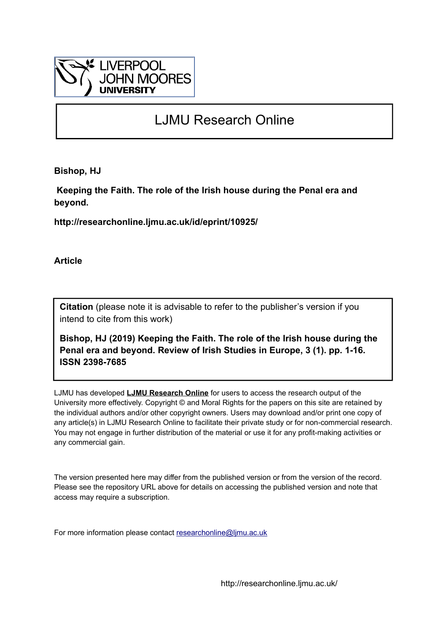

# LJMU Research Online

**Bishop, HJ**

 **Keeping the Faith. The role of the Irish house during the Penal era and beyond.**

**http://researchonline.ljmu.ac.uk/id/eprint/10925/**

**Article**

**Citation** (please note it is advisable to refer to the publisher's version if you intend to cite from this work)

**Bishop, HJ (2019) Keeping the Faith. The role of the Irish house during the Penal era and beyond. Review of Irish Studies in Europe, 3 (1). pp. 1-16. ISSN 2398-7685** 

LJMU has developed **[LJMU Research Online](http://researchonline.ljmu.ac.uk/)** for users to access the research output of the University more effectively. Copyright © and Moral Rights for the papers on this site are retained by the individual authors and/or other copyright owners. Users may download and/or print one copy of any article(s) in LJMU Research Online to facilitate their private study or for non-commercial research. You may not engage in further distribution of the material or use it for any profit-making activities or any commercial gain.

The version presented here may differ from the published version or from the version of the record. Please see the repository URL above for details on accessing the published version and note that access may require a subscription.

For more information please contact [researchonline@ljmu.ac.uk](mailto:researchonline@ljmu.ac.uk)

http://researchonline.ljmu.ac.uk/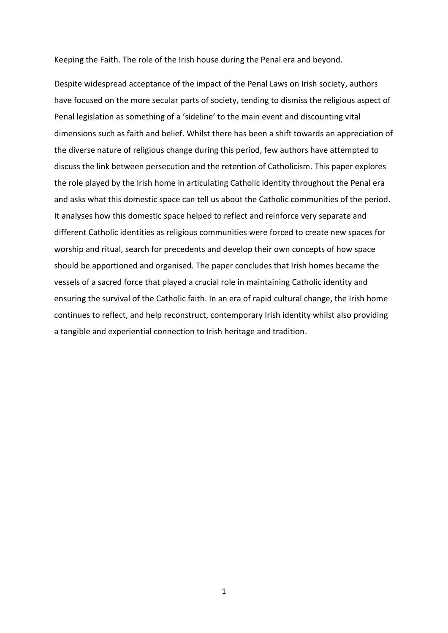Keeping the Faith. The role of the Irish house during the Penal era and beyond.

Despite widespread acceptance of the impact of the Penal Laws on Irish society, authors have focused on the more secular parts of society, tending to dismiss the religious aspect of Penal legislation as something of a 'sideline' to the main event and discounting vital dimensions such as faith and belief. Whilst there has been a shift towards an appreciation of the diverse nature of religious change during this period, few authors have attempted to discuss the link between persecution and the retention of Catholicism. This paper explores the role played by the Irish home in articulating Catholic identity throughout the Penal era and asks what this domestic space can tell us about the Catholic communities of the period. It analyses how this domestic space helped to reflect and reinforce very separate and different Catholic identities as religious communities were forced to create new spaces for worship and ritual, search for precedents and develop their own concepts of how space should be apportioned and organised. The paper concludes that Irish homes became the vessels of a sacred force that played a crucial role in maintaining Catholic identity and ensuring the survival of the Catholic faith. In an era of rapid cultural change, the Irish home continues to reflect, and help reconstruct, contemporary Irish identity whilst also providing a tangible and experiential connection to Irish heritage and tradition.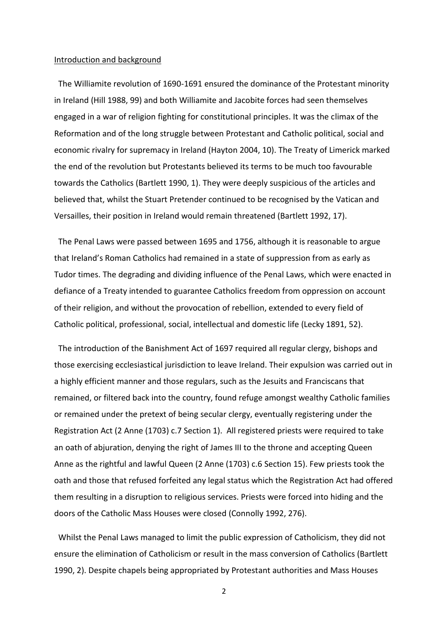#### Introduction and background

 The Williamite revolution of 1690-1691 ensured the dominance of the Protestant minority in Ireland (Hill 1988, 99) and both Williamite and Jacobite forces had seen themselves engaged in a war of religion fighting for constitutional principles. It was the climax of the Reformation and of the long struggle between Protestant and Catholic political, social and economic rivalry for supremacy in Ireland (Hayton 2004, 10). The Treaty of Limerick marked the end of the revolution but Protestants believed its terms to be much too favourable towards the Catholics (Bartlett 1990, 1). They were deeply suspicious of the articles and believed that, whilst the Stuart Pretender continued to be recognised by the Vatican and Versailles, their position in Ireland would remain threatened (Bartlett 1992, 17).

 The Penal Laws were passed between 1695 and 1756, although it is reasonable to argue that Ireland's Roman Catholics had remained in a state of suppression from as early as Tudor times. The degrading and dividing influence of the Penal Laws, which were enacted in defiance of a Treaty intended to guarantee Catholics freedom from oppression on account of their religion, and without the provocation of rebellion, extended to every field of Catholic political, professional, social, intellectual and domestic life (Lecky 1891, 52).

 The introduction of the Banishment Act of 1697 required all regular clergy, bishops and those exercising ecclesiastical jurisdiction to leave Ireland. Their expulsion was carried out in a highly efficient manner and those regulars, such as the Jesuits and Franciscans that remained, or filtered back into the country, found refuge amongst wealthy Catholic families or remained under the pretext of being secular clergy, eventually registering under the Registration Act (2 Anne (1703) c.7 Section 1). All registered priests were required to take an oath of abjuration, denying the right of James III to the throne and accepting Queen Anne as the rightful and lawful Queen (2 Anne (1703) c.6 Section 15). Few priests took the oath and those that refused forfeited any legal status which the Registration Act had offered them resulting in a disruption to religious services. Priests were forced into hiding and the doors of the Catholic Mass Houses were closed (Connolly 1992, 276).

 Whilst the Penal Laws managed to limit the public expression of Catholicism, they did not ensure the elimination of Catholicism or result in the mass conversion of Catholics (Bartlett 1990, 2). Despite chapels being appropriated by Protestant authorities and Mass Houses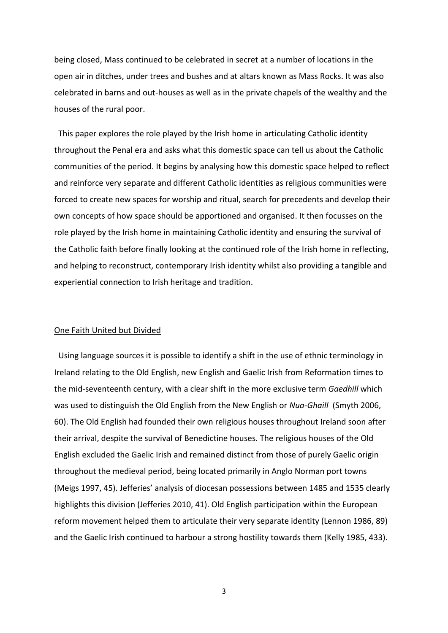being closed, Mass continued to be celebrated in secret at a number of locations in the open air in ditches, under trees and bushes and at altars known as Mass Rocks. It was also celebrated in barns and out-houses as well as in the private chapels of the wealthy and the houses of the rural poor.

 This paper explores the role played by the Irish home in articulating Catholic identity throughout the Penal era and asks what this domestic space can tell us about the Catholic communities of the period. It begins by analysing how this domestic space helped to reflect and reinforce very separate and different Catholic identities as religious communities were forced to create new spaces for worship and ritual, search for precedents and develop their own concepts of how space should be apportioned and organised. It then focusses on the role played by the Irish home in maintaining Catholic identity and ensuring the survival of the Catholic faith before finally looking at the continued role of the Irish home in reflecting, and helping to reconstruct, contemporary Irish identity whilst also providing a tangible and experiential connection to Irish heritage and tradition.

#### One Faith United but Divided

 Using language sources it is possible to identify a shift in the use of ethnic terminology in Ireland relating to the Old English, new English and Gaelic Irish from Reformation times to the mid-seventeenth century, with a clear shift in the more exclusive term *Gaedhill* which was used to distinguish the Old English from the New English or *Nua-Ghaill* (Smyth 2006, 60). The Old English had founded their own religious houses throughout Ireland soon after their arrival, despite the survival of Benedictine houses. The religious houses of the Old English excluded the Gaelic Irish and remained distinct from those of purely Gaelic origin throughout the medieval period, being located primarily in Anglo Norman port towns (Meigs 1997, 45). Jefferies' analysis of diocesan possessions between 1485 and 1535 clearly highlights this division (Jefferies 2010, 41). Old English participation within the European reform movement helped them to articulate their very separate identity (Lennon 1986, 89) and the Gaelic Irish continued to harbour a strong hostility towards them (Kelly 1985, 433).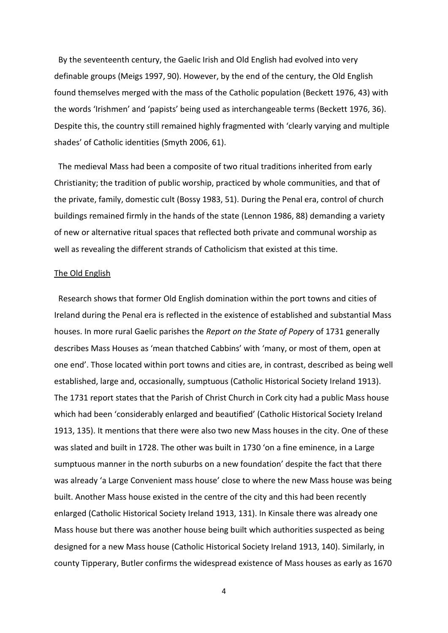By the seventeenth century, the Gaelic Irish and Old English had evolved into very definable groups (Meigs 1997, 90). However, by the end of the century, the Old English found themselves merged with the mass of the Catholic population (Beckett 1976, 43) with the words 'Irishmen' and 'papists' being used as interchangeable terms (Beckett 1976, 36). Despite this, the country still remained highly fragmented with 'clearly varying and multiple shades' of Catholic identities (Smyth 2006, 61).

 The medieval Mass had been a composite of two ritual traditions inherited from early Christianity; the tradition of public worship, practiced by whole communities, and that of the private, family, domestic cult (Bossy 1983, 51). During the Penal era, control of church buildings remained firmly in the hands of the state (Lennon 1986, 88) demanding a variety of new or alternative ritual spaces that reflected both private and communal worship as well as revealing the different strands of Catholicism that existed at this time.

#### The Old English

 Research shows that former Old English domination within the port towns and cities of Ireland during the Penal era is reflected in the existence of established and substantial Mass houses. In more rural Gaelic parishes the *Report on the State of Popery* of 1731 generally describes Mass Houses as 'mean thatched Cabbins' with 'many, or most of them, open at one end'. Those located within port towns and cities are, in contrast, described as being well established, large and, occasionally, sumptuous (Catholic Historical Society Ireland 1913). The 1731 report states that the Parish of Christ Church in Cork city had a public Mass house which had been 'considerably enlarged and beautified' (Catholic Historical Society Ireland 1913, 135). It mentions that there were also two new Mass houses in the city. One of these was slated and built in 1728. The other was built in 1730 'on a fine eminence, in a Large sumptuous manner in the north suburbs on a new foundation' despite the fact that there was already 'a Large Convenient mass house' close to where the new Mass house was being built. Another Mass house existed in the centre of the city and this had been recently enlarged (Catholic Historical Society Ireland 1913, 131). In Kinsale there was already one Mass house but there was another house being built which authorities suspected as being designed for a new Mass house (Catholic Historical Society Ireland 1913, 140). Similarly, in county Tipperary, Butler confirms the widespread existence of Mass houses as early as 1670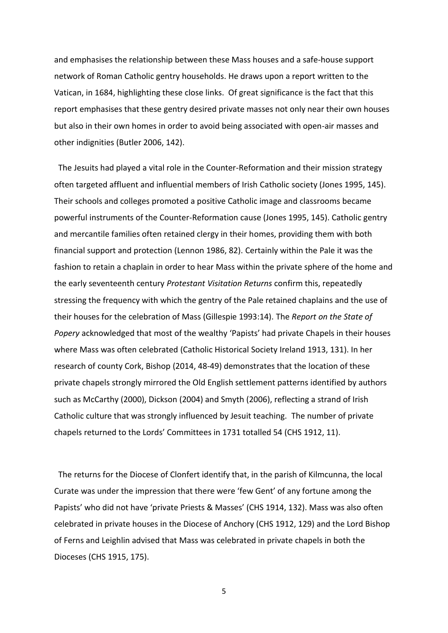and emphasises the relationship between these Mass houses and a safe-house support network of Roman Catholic gentry households. He draws upon a report written to the Vatican, in 1684, highlighting these close links. Of great significance is the fact that this report emphasises that these gentry desired private masses not only near their own houses but also in their own homes in order to avoid being associated with open-air masses and other indignities (Butler 2006, 142).

 The Jesuits had played a vital role in the Counter-Reformation and their mission strategy often targeted affluent and influential members of Irish Catholic society (Jones 1995, 145). Their schools and colleges promoted a positive Catholic image and classrooms became powerful instruments of the Counter-Reformation cause (Jones 1995, 145). Catholic gentry and mercantile families often retained clergy in their homes, providing them with both financial support and protection (Lennon 1986, 82). Certainly within the Pale it was the fashion to retain a chaplain in order to hear Mass within the private sphere of the home and the early seventeenth century *Protestant Visitation Returns* confirm this, repeatedly stressing the frequency with which the gentry of the Pale retained chaplains and the use of their houses for the celebration of Mass (Gillespie 1993:14). The *Report on the State of Popery* acknowledged that most of the wealthy 'Papists' had private Chapels in their houses where Mass was often celebrated (Catholic Historical Society Ireland 1913, 131). In her research of county Cork, Bishop (2014, 48-49) demonstrates that the location of these private chapels strongly mirrored the Old English settlement patterns identified by authors such as McCarthy (2000), Dickson (2004) and Smyth (2006), reflecting a strand of Irish Catholic culture that was strongly influenced by Jesuit teaching. The number of private chapels returned to the Lords' Committees in 1731 totalled 54 (CHS 1912, 11).

 The returns for the Diocese of Clonfert identify that, in the parish of Kilmcunna, the local Curate was under the impression that there were 'few Gent' of any fortune among the Papists' who did not have 'private Priests & Masses' (CHS 1914, 132). Mass was also often celebrated in private houses in the Diocese of Anchory (CHS 1912, 129) and the Lord Bishop of Ferns and Leighlin advised that Mass was celebrated in private chapels in both the Dioceses (CHS 1915, 175).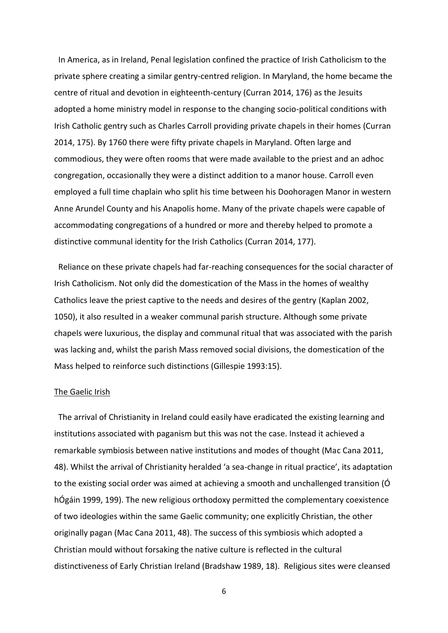In America, as in Ireland, Penal legislation confined the practice of Irish Catholicism to the private sphere creating a similar gentry-centred religion. In Maryland, the home became the centre of ritual and devotion in eighteenth-century (Curran 2014, 176) as the Jesuits adopted a home ministry model in response to the changing socio-political conditions with Irish Catholic gentry such as Charles Carroll providing private chapels in their homes (Curran 2014, 175). By 1760 there were fifty private chapels in Maryland. Often large and commodious, they were often rooms that were made available to the priest and an adhoc congregation, occasionally they were a distinct addition to a manor house. Carroll even employed a full time chaplain who split his time between his Doohoragen Manor in western Anne Arundel County and his Anapolis home. Many of the private chapels were capable of accommodating congregations of a hundred or more and thereby helped to promote a distinctive communal identity for the Irish Catholics (Curran 2014, 177).

 Reliance on these private chapels had far-reaching consequences for the social character of Irish Catholicism. Not only did the domestication of the Mass in the homes of wealthy Catholics leave the priest captive to the needs and desires of the gentry (Kaplan 2002, 1050), it also resulted in a weaker communal parish structure. Although some private chapels were luxurious, the display and communal ritual that was associated with the parish was lacking and, whilst the parish Mass removed social divisions, the domestication of the Mass helped to reinforce such distinctions (Gillespie 1993:15).

## The Gaelic Irish

 The arrival of Christianity in Ireland could easily have eradicated the existing learning and institutions associated with paganism but this was not the case. Instead it achieved a remarkable symbiosis between native institutions and modes of thought (Mac Cana 2011, 48). Whilst the arrival of Christianity heralded 'a sea-change in ritual practice', its adaptation to the existing social order was aimed at achieving a smooth and unchallenged transition (Ó hÓgáin 1999, 199). The new religious orthodoxy permitted the complementary coexistence of two ideologies within the same Gaelic community; one explicitly Christian, the other originally pagan (Mac Cana 2011, 48). The success of this symbiosis which adopted a Christian mould without forsaking the native culture is reflected in the cultural distinctiveness of Early Christian Ireland (Bradshaw 1989, 18). Religious sites were cleansed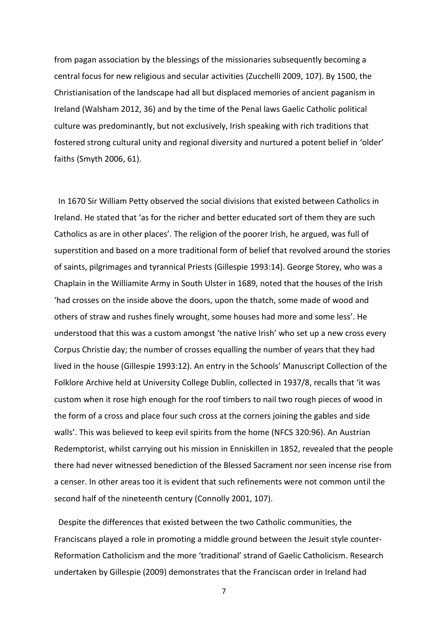from pagan association by the blessings of the missionaries subsequently becoming a central focus for new religious and secular activities (Zucchelli 2009, 107). By 1500, the Christianisation of the landscape had all but displaced memories of ancient paganism in Ireland (Walsham 2012, 36) and by the time of the Penal laws Gaelic Catholic political culture was predominantly, but not exclusively, Irish speaking with rich traditions that fostered strong cultural unity and regional diversity and nurtured a potent belief in 'older' faiths (Smyth 2006, 61).

 In 1670 Sir William Petty observed the social divisions that existed between Catholics in Ireland. He stated that 'as for the richer and better educated sort of them they are such Catholics as are in other places'. The religion of the poorer Irish, he argued, was full of superstition and based on a more traditional form of belief that revolved around the stories of saints, pilgrimages and tyrannical Priests (Gillespie 1993:14). George Storey, who was a Chaplain in the Williamite Army in South Ulster in 1689, noted that the houses of the Irish 'had crosses on the inside above the doors, upon the thatch, some made of wood and others of straw and rushes finely wrought, some houses had more and some less'. He understood that this was a custom amongst 'the native Irish' who set up a new cross every Corpus Christie day; the number of crosses equalling the number of years that they had lived in the house (Gillespie 1993:12). An entry in the Schools' Manuscript Collection of the Folklore Archive held at University College Dublin, collected in 1937/8, recalls that 'it was custom when it rose high enough for the roof timbers to nail two rough pieces of wood in the form of a cross and place four such cross at the corners joining the gables and side walls'. This was believed to keep evil spirits from the home (NFCS 320:96). An Austrian Redemptorist, whilst carrying out his mission in Enniskillen in 1852, revealed that the people there had never witnessed benediction of the Blessed Sacrament nor seen incense rise from a censer. In other areas too it is evident that such refinements were not common until the second half of the nineteenth century (Connolly 2001, 107).

 Despite the differences that existed between the two Catholic communities, the Franciscans played a role in promoting a middle ground between the Jesuit style counter-Reformation Catholicism and the more 'traditional' strand of Gaelic Catholicism. Research undertaken by Gillespie (2009) demonstrates that the Franciscan order in Ireland had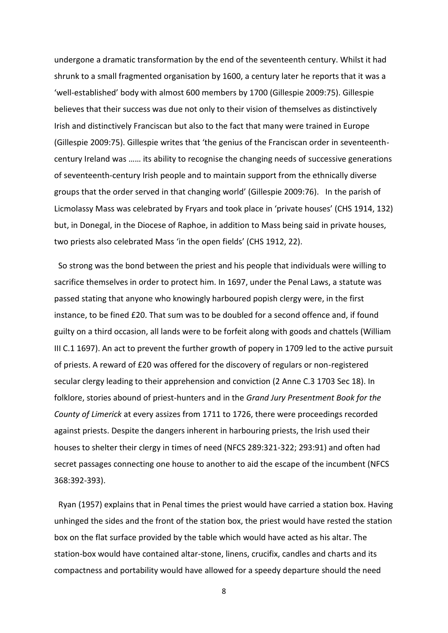undergone a dramatic transformation by the end of the seventeenth century. Whilst it had shrunk to a small fragmented organisation by 1600, a century later he reports that it was a 'well-established' body with almost 600 members by 1700 (Gillespie 2009:75). Gillespie believes that their success was due not only to their vision of themselves as distinctively Irish and distinctively Franciscan but also to the fact that many were trained in Europe (Gillespie 2009:75). Gillespie writes that 'the genius of the Franciscan order in seventeenthcentury Ireland was …… its ability to recognise the changing needs of successive generations of seventeenth-century Irish people and to maintain support from the ethnically diverse groups that the order served in that changing world' (Gillespie 2009:76). In the parish of Licmolassy Mass was celebrated by Fryars and took place in 'private houses' (CHS 1914, 132) but, in Donegal, in the Diocese of Raphoe, in addition to Mass being said in private houses, two priests also celebrated Mass 'in the open fields' (CHS 1912, 22).

 So strong was the bond between the priest and his people that individuals were willing to sacrifice themselves in order to protect him. In 1697, under the Penal Laws, a statute was passed stating that anyone who knowingly harboured popish clergy were, in the first instance, to be fined £20. That sum was to be doubled for a second offence and, if found guilty on a third occasion, all lands were to be forfeit along with goods and chattels (William III C.1 1697). An act to prevent the further growth of popery in 1709 led to the active pursuit of priests. A reward of £20 was offered for the discovery of regulars or non-registered secular clergy leading to their apprehension and conviction (2 Anne C.3 1703 Sec 18). In folklore, stories abound of priest-hunters and in the *Grand Jury Presentment Book for the County of Limerick* at every assizes from 1711 to 1726, there were proceedings recorded against priests. Despite the dangers inherent in harbouring priests, the Irish used their houses to shelter their clergy in times of need (NFCS 289:321-322; 293:91) and often had secret passages connecting one house to another to aid the escape of the incumbent (NFCS 368:392-393).

 Ryan (1957) explains that in Penal times the priest would have carried a station box. Having unhinged the sides and the front of the station box, the priest would have rested the station box on the flat surface provided by the table which would have acted as his altar. The station-box would have contained altar-stone, linens, crucifix, candles and charts and its compactness and portability would have allowed for a speedy departure should the need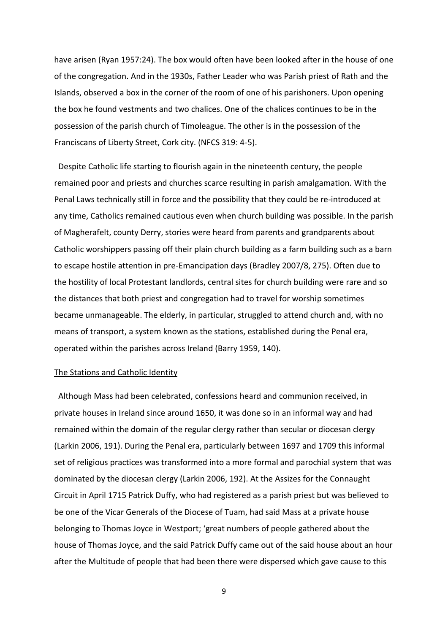have arisen (Ryan 1957:24). The box would often have been looked after in the house of one of the congregation. And in the 1930s, Father Leader who was Parish priest of Rath and the Islands, observed a box in the corner of the room of one of his parishoners. Upon opening the box he found vestments and two chalices. One of the chalices continues to be in the possession of the parish church of Timoleague. The other is in the possession of the Franciscans of Liberty Street, Cork city. (NFCS 319: 4-5).

 Despite Catholic life starting to flourish again in the nineteenth century, the people remained poor and priests and churches scarce resulting in parish amalgamation. With the Penal Laws technically still in force and the possibility that they could be re-introduced at any time, Catholics remained cautious even when church building was possible. In the parish of Magherafelt, county Derry, stories were heard from parents and grandparents about Catholic worshippers passing off their plain church building as a farm building such as a barn to escape hostile attention in pre-Emancipation days (Bradley 2007/8, 275). Often due to the hostility of local Protestant landlords, central sites for church building were rare and so the distances that both priest and congregation had to travel for worship sometimes became unmanageable. The elderly, in particular, struggled to attend church and, with no means of transport, a system known as the stations, established during the Penal era, operated within the parishes across Ireland (Barry 1959, 140).

## The Stations and Catholic Identity

 Although Mass had been celebrated, confessions heard and communion received, in private houses in Ireland since around 1650, it was done so in an informal way and had remained within the domain of the regular clergy rather than secular or diocesan clergy (Larkin 2006, 191). During the Penal era, particularly between 1697 and 1709 this informal set of religious practices was transformed into a more formal and parochial system that was dominated by the diocesan clergy (Larkin 2006, 192). At the Assizes for the Connaught Circuit in April 1715 Patrick Duffy, who had registered as a parish priest but was believed to be one of the Vicar Generals of the Diocese of Tuam, had said Mass at a private house belonging to Thomas Joyce in Westport; 'great numbers of people gathered about the house of Thomas Joyce, and the said Patrick Duffy came out of the said house about an hour after the Multitude of people that had been there were dispersed which gave cause to this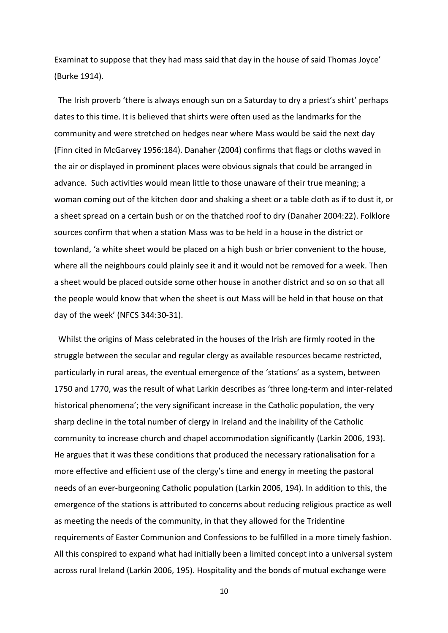Examinat to suppose that they had mass said that day in the house of said Thomas Joyce' (Burke 1914).

 The Irish proverb 'there is always enough sun on a Saturday to dry a priest's shirt' perhaps dates to this time. It is believed that shirts were often used as the landmarks for the community and were stretched on hedges near where Mass would be said the next day (Finn cited in McGarvey 1956:184). Danaher (2004) confirms that flags or cloths waved in the air or displayed in prominent places were obvious signals that could be arranged in advance. Such activities would mean little to those unaware of their true meaning; a woman coming out of the kitchen door and shaking a sheet or a table cloth as if to dust it, or a sheet spread on a certain bush or on the thatched roof to dry (Danaher 2004:22). Folklore sources confirm that when a station Mass was to be held in a house in the district or townland, 'a white sheet would be placed on a high bush or brier convenient to the house, where all the neighbours could plainly see it and it would not be removed for a week. Then a sheet would be placed outside some other house in another district and so on so that all the people would know that when the sheet is out Mass will be held in that house on that day of the week' (NFCS 344:30-31).

 Whilst the origins of Mass celebrated in the houses of the Irish are firmly rooted in the struggle between the secular and regular clergy as available resources became restricted, particularly in rural areas, the eventual emergence of the 'stations' as a system, between 1750 and 1770, was the result of what Larkin describes as 'three long-term and inter-related historical phenomena'; the very significant increase in the Catholic population, the very sharp decline in the total number of clergy in Ireland and the inability of the Catholic community to increase church and chapel accommodation significantly (Larkin 2006, 193). He argues that it was these conditions that produced the necessary rationalisation for a more effective and efficient use of the clergy's time and energy in meeting the pastoral needs of an ever-burgeoning Catholic population (Larkin 2006, 194). In addition to this, the emergence of the stations is attributed to concerns about reducing religious practice as well as meeting the needs of the community, in that they allowed for the Tridentine requirements of Easter Communion and Confessions to be fulfilled in a more timely fashion. All this conspired to expand what had initially been a limited concept into a universal system across rural Ireland (Larkin 2006, 195). Hospitality and the bonds of mutual exchange were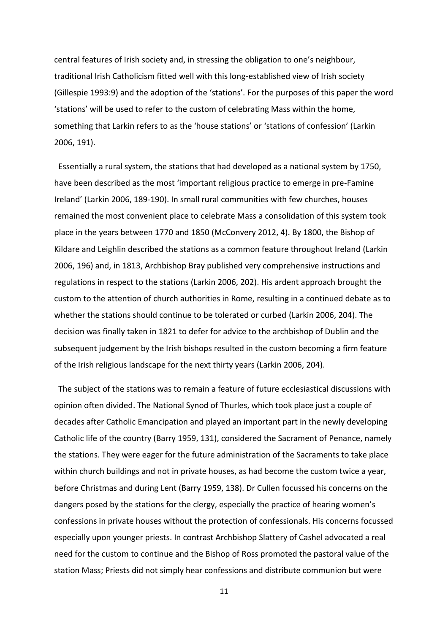central features of Irish society and, in stressing the obligation to one's neighbour, traditional Irish Catholicism fitted well with this long-established view of Irish society (Gillespie 1993:9) and the adoption of the 'stations'. For the purposes of this paper the word 'stations' will be used to refer to the custom of celebrating Mass within the home, something that Larkin refers to as the 'house stations' or 'stations of confession' (Larkin 2006, 191).

 Essentially a rural system, the stations that had developed as a national system by 1750, have been described as the most 'important religious practice to emerge in pre-Famine Ireland' (Larkin 2006, 189-190). In small rural communities with few churches, houses remained the most convenient place to celebrate Mass a consolidation of this system took place in the years between 1770 and 1850 (McConvery 2012, 4). By 1800, the Bishop of Kildare and Leighlin described the stations as a common feature throughout Ireland (Larkin 2006, 196) and, in 1813, Archbishop Bray published very comprehensive instructions and regulations in respect to the stations (Larkin 2006, 202). His ardent approach brought the custom to the attention of church authorities in Rome, resulting in a continued debate as to whether the stations should continue to be tolerated or curbed (Larkin 2006, 204). The decision was finally taken in 1821 to defer for advice to the archbishop of Dublin and the subsequent judgement by the Irish bishops resulted in the custom becoming a firm feature of the Irish religious landscape for the next thirty years (Larkin 2006, 204).

 The subject of the stations was to remain a feature of future ecclesiastical discussions with opinion often divided. The National Synod of Thurles, which took place just a couple of decades after Catholic Emancipation and played an important part in the newly developing Catholic life of the country (Barry 1959, 131), considered the Sacrament of Penance, namely the stations. They were eager for the future administration of the Sacraments to take place within church buildings and not in private houses, as had become the custom twice a year, before Christmas and during Lent (Barry 1959, 138). Dr Cullen focussed his concerns on the dangers posed by the stations for the clergy, especially the practice of hearing women's confessions in private houses without the protection of confessionals. His concerns focussed especially upon younger priests. In contrast Archbishop Slattery of Cashel advocated a real need for the custom to continue and the Bishop of Ross promoted the pastoral value of the station Mass; Priests did not simply hear confessions and distribute communion but were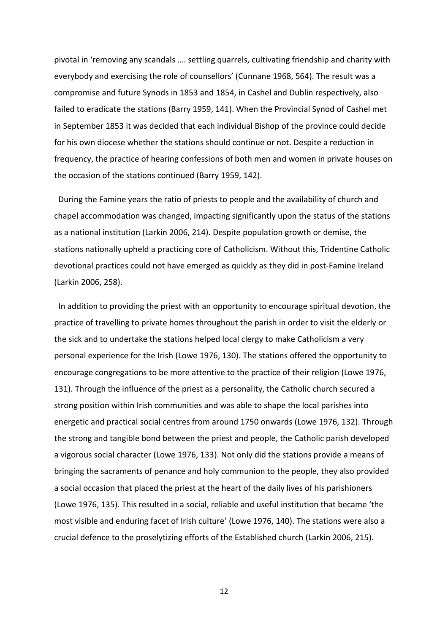pivotal in 'removing any scandals …. settling quarrels, cultivating friendship and charity with everybody and exercising the role of counsellors' (Cunnane 1968, 564). The result was a compromise and future Synods in 1853 and 1854, in Cashel and Dublin respectively, also failed to eradicate the stations (Barry 1959, 141). When the Provincial Synod of Cashel met in September 1853 it was decided that each individual Bishop of the province could decide for his own diocese whether the stations should continue or not. Despite a reduction in frequency, the practice of hearing confessions of both men and women in private houses on the occasion of the stations continued (Barry 1959, 142).

 During the Famine years the ratio of priests to people and the availability of church and chapel accommodation was changed, impacting significantly upon the status of the stations as a national institution (Larkin 2006, 214). Despite population growth or demise, the stations nationally upheld a practicing core of Catholicism. Without this, Tridentine Catholic devotional practices could not have emerged as quickly as they did in post-Famine Ireland (Larkin 2006, 258).

 In addition to providing the priest with an opportunity to encourage spiritual devotion, the practice of travelling to private homes throughout the parish in order to visit the elderly or the sick and to undertake the stations helped local clergy to make Catholicism a very personal experience for the Irish (Lowe 1976, 130). The stations offered the opportunity to encourage congregations to be more attentive to the practice of their religion (Lowe 1976, 131). Through the influence of the priest as a personality, the Catholic church secured a strong position within Irish communities and was able to shape the local parishes into energetic and practical social centres from around 1750 onwards (Lowe 1976, 132). Through the strong and tangible bond between the priest and people, the Catholic parish developed a vigorous social character (Lowe 1976, 133). Not only did the stations provide a means of bringing the sacraments of penance and holy communion to the people, they also provided a social occasion that placed the priest at the heart of the daily lives of his parishioners (Lowe 1976, 135). This resulted in a social, reliable and useful institution that became 'the most visible and enduring facet of Irish culture' (Lowe 1976, 140). The stations were also a crucial defence to the proselytizing efforts of the Established church (Larkin 2006, 215).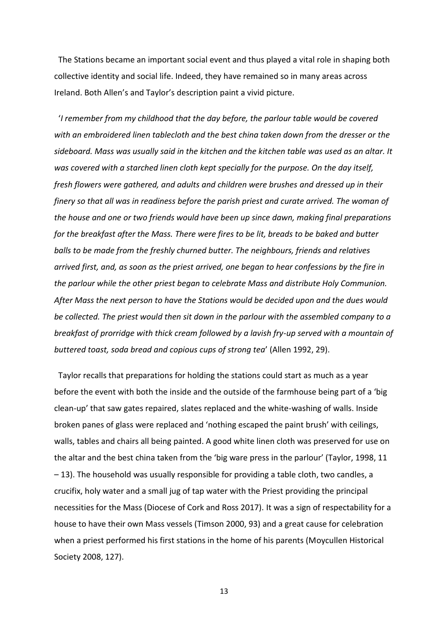The Stations became an important social event and thus played a vital role in shaping both collective identity and social life. Indeed, they have remained so in many areas across Ireland. Both Allen's and Taylor's description paint a vivid picture.

 '*I remember from my childhood that the day before, the parlour table would be covered with an embroidered linen tablecloth and the best china taken down from the dresser or the sideboard. Mass was usually said in the kitchen and the kitchen table was used as an altar. It was covered with a starched linen cloth kept specially for the purpose. On the day itself, fresh flowers were gathered, and adults and children were brushes and dressed up in their finery so that all was in readiness before the parish priest and curate arrived. The woman of the house and one or two friends would have been up since dawn, making final preparations for the breakfast after the Mass. There were fires to be lit, breads to be baked and butter balls to be made from the freshly churned butter. The neighbours, friends and relatives arrived first, and, as soon as the priest arrived, one began to hear confessions by the fire in the parlour while the other priest began to celebrate Mass and distribute Holy Communion. After Mass the next person to have the Stations would be decided upon and the dues would be collected. The priest would then sit down in the parlour with the assembled company to a breakfast of prorridge with thick cream followed by a lavish fry-up served with a mountain of buttered toast, soda bread and copious cups of strong tea*' (Allen 1992, 29).

 Taylor recalls that preparations for holding the stations could start as much as a year before the event with both the inside and the outside of the farmhouse being part of a 'big clean-up' that saw gates repaired, slates replaced and the white-washing of walls. Inside broken panes of glass were replaced and 'nothing escaped the paint brush' with ceilings, walls, tables and chairs all being painted. A good white linen cloth was preserved for use on the altar and the best china taken from the 'big ware press in the parlour' (Taylor, 1998, 11 – 13). The household was usually responsible for providing a table cloth, two candles, a crucifix, holy water and a small jug of tap water with the Priest providing the principal necessities for the Mass (Diocese of Cork and Ross 2017). It was a sign of respectability for a house to have their own Mass vessels (Timson 2000, 93) and a great cause for celebration when a priest performed his first stations in the home of his parents (Moycullen Historical Society 2008, 127).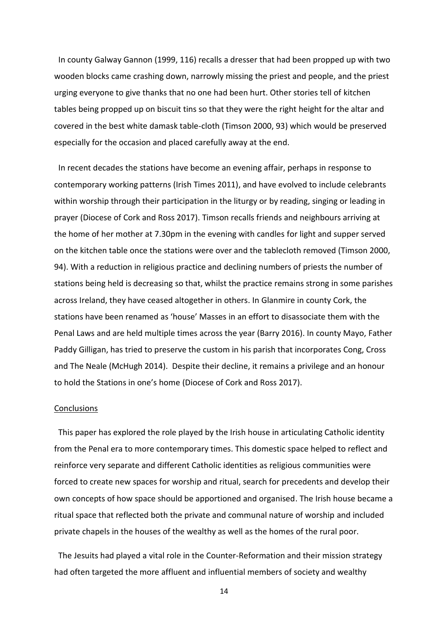In county Galway Gannon (1999, 116) recalls a dresser that had been propped up with two wooden blocks came crashing down, narrowly missing the priest and people, and the priest urging everyone to give thanks that no one had been hurt. Other stories tell of kitchen tables being propped up on biscuit tins so that they were the right height for the altar and covered in the best white damask table-cloth (Timson 2000, 93) which would be preserved especially for the occasion and placed carefully away at the end.

 In recent decades the stations have become an evening affair, perhaps in response to contemporary working patterns (Irish Times 2011), and have evolved to include celebrants within worship through their participation in the liturgy or by reading, singing or leading in prayer (Diocese of Cork and Ross 2017). Timson recalls friends and neighbours arriving at the home of her mother at 7.30pm in the evening with candles for light and supper served on the kitchen table once the stations were over and the tablecloth removed (Timson 2000, 94). With a reduction in religious practice and declining numbers of priests the number of stations being held is decreasing so that, whilst the practice remains strong in some parishes across Ireland, they have ceased altogether in others. In Glanmire in county Cork, the stations have been renamed as 'house' Masses in an effort to disassociate them with the Penal Laws and are held multiple times across the year (Barry 2016). In county Mayo, Father Paddy Gilligan, has tried to preserve the custom in his parish that incorporates Cong, Cross and The Neale (McHugh 2014). Despite their decline, it remains a privilege and an honour to hold the Stations in one's home (Diocese of Cork and Ross 2017).

# **Conclusions**

 This paper has explored the role played by the Irish house in articulating Catholic identity from the Penal era to more contemporary times. This domestic space helped to reflect and reinforce very separate and different Catholic identities as religious communities were forced to create new spaces for worship and ritual, search for precedents and develop their own concepts of how space should be apportioned and organised. The Irish house became a ritual space that reflected both the private and communal nature of worship and included private chapels in the houses of the wealthy as well as the homes of the rural poor.

 The Jesuits had played a vital role in the Counter-Reformation and their mission strategy had often targeted the more affluent and influential members of society and wealthy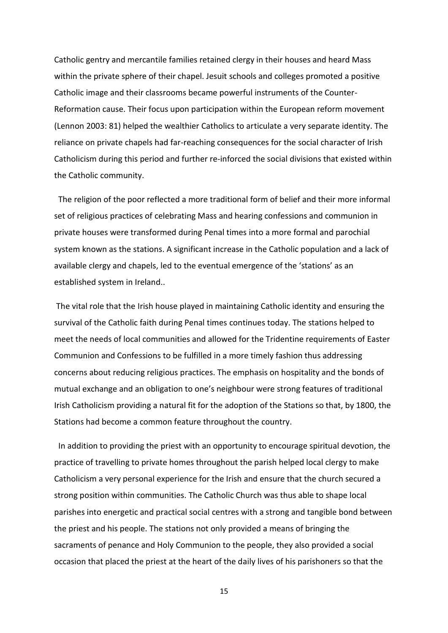Catholic gentry and mercantile families retained clergy in their houses and heard Mass within the private sphere of their chapel. Jesuit schools and colleges promoted a positive Catholic image and their classrooms became powerful instruments of the Counter-Reformation cause. Their focus upon participation within the European reform movement (Lennon 2003: 81) helped the wealthier Catholics to articulate a very separate identity. The reliance on private chapels had far-reaching consequences for the social character of Irish Catholicism during this period and further re-inforced the social divisions that existed within the Catholic community.

 The religion of the poor reflected a more traditional form of belief and their more informal set of religious practices of celebrating Mass and hearing confessions and communion in private houses were transformed during Penal times into a more formal and parochial system known as the stations. A significant increase in the Catholic population and a lack of available clergy and chapels, led to the eventual emergence of the 'stations' as an established system in Ireland..

The vital role that the Irish house played in maintaining Catholic identity and ensuring the survival of the Catholic faith during Penal times continues today. The stations helped to meet the needs of local communities and allowed for the Tridentine requirements of Easter Communion and Confessions to be fulfilled in a more timely fashion thus addressing concerns about reducing religious practices. The emphasis on hospitality and the bonds of mutual exchange and an obligation to one's neighbour were strong features of traditional Irish Catholicism providing a natural fit for the adoption of the Stations so that, by 1800, the Stations had become a common feature throughout the country.

 In addition to providing the priest with an opportunity to encourage spiritual devotion, the practice of travelling to private homes throughout the parish helped local clergy to make Catholicism a very personal experience for the Irish and ensure that the church secured a strong position within communities. The Catholic Church was thus able to shape local parishes into energetic and practical social centres with a strong and tangible bond between the priest and his people. The stations not only provided a means of bringing the sacraments of penance and Holy Communion to the people, they also provided a social occasion that placed the priest at the heart of the daily lives of his parishoners so that the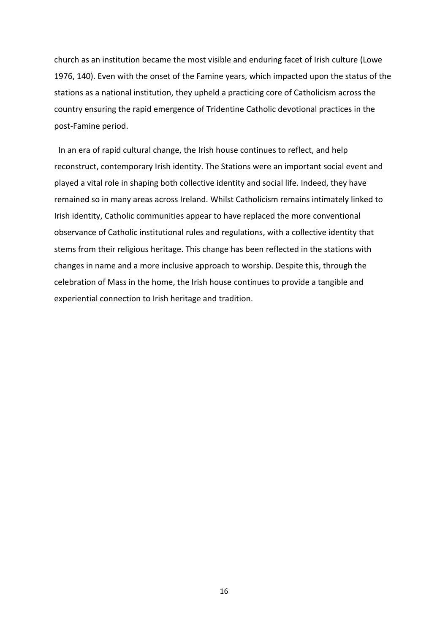church as an institution became the most visible and enduring facet of Irish culture (Lowe 1976, 140). Even with the onset of the Famine years, which impacted upon the status of the stations as a national institution, they upheld a practicing core of Catholicism across the country ensuring the rapid emergence of Tridentine Catholic devotional practices in the post-Famine period.

 In an era of rapid cultural change, the Irish house continues to reflect, and help reconstruct, contemporary Irish identity. The Stations were an important social event and played a vital role in shaping both collective identity and social life. Indeed, they have remained so in many areas across Ireland. Whilst Catholicism remains intimately linked to Irish identity, Catholic communities appear to have replaced the more conventional observance of Catholic institutional rules and regulations, with a collective identity that stems from their religious heritage. This change has been reflected in the stations with changes in name and a more inclusive approach to worship. Despite this, through the celebration of Mass in the home, the Irish house continues to provide a tangible and experiential connection to Irish heritage and tradition.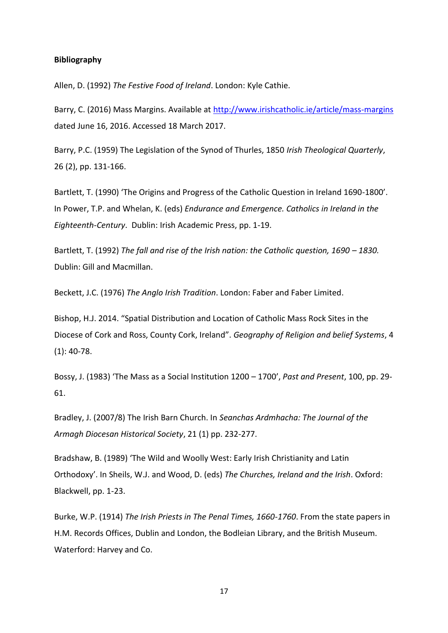## **Bibliography**

Allen, D. (1992) *The Festive Food of Ireland*. London: Kyle Cathie.

Barry, C. (2016) Mass Margins. Available at http://www.irishcatholic.ie/article/mass-margins dated June 16, 2016. Accessed 18 March 2017.

Barry, P.C. (1959) The Legislation of the Synod of Thurles, 1850 *Irish Theological Quarterly*, 26 (2), pp. 131-166.

Bartlett, T. (1990) 'The Origins and Progress of the Catholic Question in Ireland 1690-1800'. In Power, T.P. and Whelan, K. (eds) *Endurance and Emergence. Catholics in Ireland in the Eighteenth-Century*. Dublin: Irish Academic Press, pp. 1-19.

Bartlett, T. (1992) *The fall and rise of the Irish nation: the Catholic question, 1690 - 1830.* Dublin: Gill and Macmillan.

Beckett, J.C. (1976) *The Anglo Irish Tradition*. London: Faber and Faber Limited.

Bishop, H.J. 2014. "Spatial Distribution and Location of Catholic Mass Rock Sites in the Diocese of Cork and Ross, County Cork, Ireland". *Geography of Religion and belief Systems*, 4 (1): 40-78.

Bossy, J. (1983) 'The Mass as a Social Institution 1200 – 1700', *Past and Present*, 100, pp. 29- 61.

Bradley, J. (2007/8) The Irish Barn Church. In *Seanchas Ardmhacha: The Journal of the Armagh Diocesan Historical Society*, 21 (1) pp. 232-277.

Bradshaw, B. (1989) 'The Wild and Woolly West: Early Irish Christianity and Latin Orthodoxy'. In Sheils, W.J. and Wood, D. (eds) *The Churches, Ireland and the Irish*. Oxford: Blackwell, pp. 1-23.

Burke, W.P. (1914) *The Irish Priests in The Penal Times, 1660-1760*. From the state papers in H.M. Records Offices, Dublin and London, the Bodleian Library, and the British Museum. Waterford: Harvey and Co.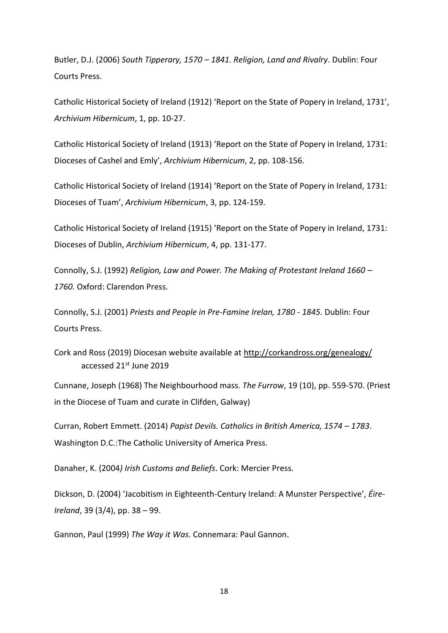Butler, D.J. (2006) *South Tipperary, 1570 – 1841. Religion, Land and Rivalry*. Dublin: Four Courts Press.

Catholic Historical Society of Ireland (1912) 'Report on the State of Popery in Ireland, 1731', *Archivium Hibernicum*, 1, pp. 10-27.

Catholic Historical Society of Ireland (1913) 'Report on the State of Popery in Ireland, 1731: Dioceses of Cashel and Emly', *Archivium Hibernicum*, 2, pp. 108-156.

Catholic Historical Society of Ireland (1914) 'Report on the State of Popery in Ireland, 1731: Dioceses of Tuam', *Archivium Hibernicum*, 3, pp. 124-159.

Catholic Historical Society of Ireland (1915) 'Report on the State of Popery in Ireland, 1731: Dioceses of Dublin, *Archivium Hibernicum*, 4, pp. 131-177.

Connolly, S.J. (1992) *Religion, Law and Power. The Making of Protestant Ireland 1660 – 1760.* Oxford: Clarendon Press.

Connolly, S.J. (2001) *Priests and People in Pre-Famine Irelan, 1780 - 1845.* Dublin: Four Courts Press.

Cork and Ross (2019) Diocesan website available at<http://corkandross.org/genealogy/> accessed 21st June 2019

Cunnane, Joseph (1968) The Neighbourhood mass. *The Furrow*, 19 (10), pp. 559-570. (Priest in the Diocese of Tuam and curate in Clifden, Galway)

Curran, Robert Emmett. (2014) *Papist Devils. Catholics in British America, 1574 – 1783*. Washington D.C.:The Catholic University of America Press.

Danaher, K. (2004*) Irish Customs and Beliefs*. Cork: Mercier Press.

Dickson, D. (2004) 'Jacobitism in Eighteenth-Century Ireland: A Munster Perspective', *Éire-Ireland*, 39 (3/4), pp. 38 – 99.

Gannon, Paul (1999) *The Way it Was*. Connemara: Paul Gannon.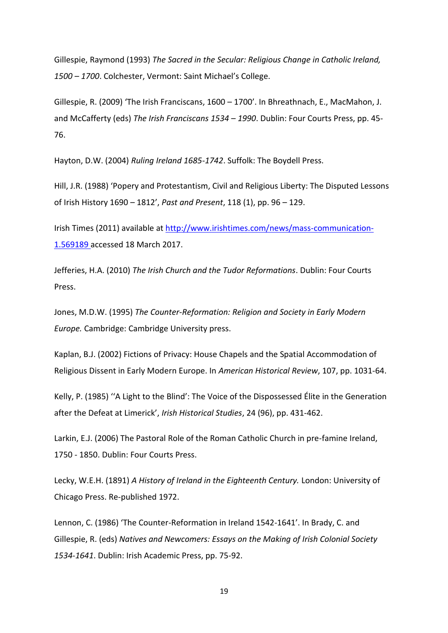Gillespie, Raymond (1993) *The Sacred in the Secular: Religious Change in Catholic Ireland, 1500 – 1700*. Colchester, Vermont: Saint Michael's College.

Gillespie, R. (2009) 'The Irish Franciscans, 1600 – 1700'. In Bhreathnach, E., MacMahon, J. and McCafferty (eds) *The Irish Franciscans 1534 – 1990*. Dublin: Four Courts Press, pp. 45- 76.

Hayton, D.W. (2004) *Ruling Ireland 1685-1742*. Suffolk: The Boydell Press.

Hill, J.R. (1988) 'Popery and Protestantism, Civil and Religious Liberty: The Disputed Lessons of Irish History 1690 – 1812', *Past and Present*, 118 (1), pp. 96 – 129.

Irish Times (2011) available at http://www.irishtimes.com/news/mass-communication-1.569189 accessed 18 March 2017.

Jefferies, H.A. (2010) *The Irish Church and the Tudor Reformations*. Dublin: Four Courts Press.

Jones, M.D.W. (1995) *The Counter-Reformation: Religion and Society in Early Modern Europe.* Cambridge: Cambridge University press.

Kaplan, B.J. (2002) Fictions of Privacy: House Chapels and the Spatial Accommodation of Religious Dissent in Early Modern Europe. In *American Historical Review*, 107, pp. 1031-64.

Kelly, P. (1985) ''A Light to the Blind': The Voice of the Dispossessed Élite in the Generation after the Defeat at Limerick', *Irish Historical Studies*, 24 (96), pp. 431-462.

Larkin, E.J. (2006) The Pastoral Role of the Roman Catholic Church in pre-famine Ireland, 1750 - 1850. Dublin: Four Courts Press.

Lecky, W.E.H. (1891) *A History of Ireland in the Eighteenth Century.* London: University of Chicago Press. Re-published 1972.

Lennon, C. (1986) 'The Counter-Reformation in Ireland 1542-1641'. In Brady, C. and Gillespie, R. (eds) *Natives and Newcomers: Essays on the Making of Irish Colonial Society 1534-1641*. Dublin: Irish Academic Press, pp. 75-92.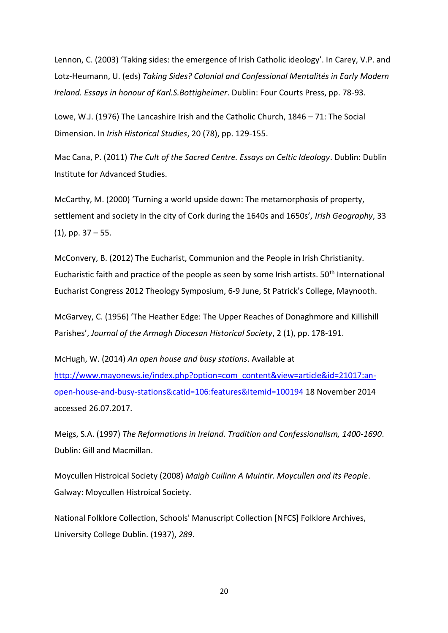Lennon, C. (2003) 'Taking sides: the emergence of Irish Catholic ideology'. In Carey, V.P. and Lotz-Heumann, U. (eds) *Taking Sides? Colonial and Confessional Mentalités in Early Modern Ireland. Essays in honour of Karl.S.Bottigheimer*. Dublin: Four Courts Press, pp. 78-93.

Lowe, W.J. (1976) The Lancashire Irish and the Catholic Church, 1846 – 71: The Social Dimension. In *Irish Historical Studies*, 20 (78), pp. 129-155.

Mac Cana, P. (2011) *The Cult of the Sacred Centre. Essays on Celtic Ideology*. Dublin: Dublin Institute for Advanced Studies.

McCarthy, M. (2000) 'Turning a world upside down: The metamorphosis of property, settlement and society in the city of Cork during the 1640s and 1650s', *Irish Geography*, 33  $(1)$ , pp. 37 – 55.

McConvery, B. (2012) The Eucharist, Communion and the People in Irish Christianity. Eucharistic faith and practice of the people as seen by some Irish artists.  $50<sup>th</sup>$  International Eucharist Congress 2012 Theology Symposium, 6-9 June, St Patrick's College, Maynooth.

McGarvey, C. (1956) 'The Heather Edge: The Upper Reaches of Donaghmore and Killishill Parishes', *Journal of the Armagh Diocesan Historical Society*, 2 (1), pp. 178-191.

McHugh, W. (2014) *An open house and busy stations*. Available at [http://www.mayonews.ie/index.php?option=com\\_content&view=article&id=21017:an](http://www.mayonews.ie/index.php?option=com_content&view=article&id=21017:an-open-house-and-busy-stations&catid=106:features&Itemid=100194)[open-house-and-busy-stations&catid=106:features&Itemid=100194](http://www.mayonews.ie/index.php?option=com_content&view=article&id=21017:an-open-house-and-busy-stations&catid=106:features&Itemid=100194) 18 November 2014 accessed 26.07.2017.

Meigs, S.A. (1997) *The Reformations in Ireland. Tradition and Confessionalism, 1400-1690*. Dublin: Gill and Macmillan.

Moycullen Histroical Society (2008) *Maigh Cuilinn A Muintir. Moycullen and its People*. Galway: Moycullen Histroical Society.

National Folklore Collection, Schools' Manuscript Collection [NFCS] Folklore Archives, University College Dublin. (1937), *289*.